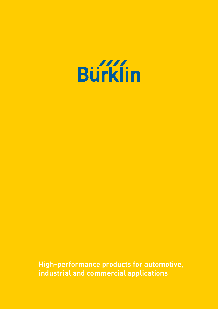

**High-performance products for automotive, industrial and commercial applications**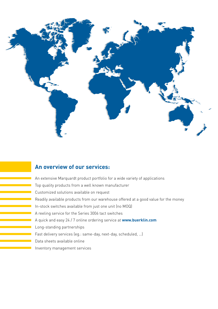

### **An overview of our services:**

An extensive Marquardt product portfolio for a wide variety of applications Top quality products from a well known manufacturer Customized solutions available on request Readily available products from our warehouse offered at a good value for the money In-stock switches available from just one unit (no MOQ) A reeling service for the Series 3006 tact switches A quick and easy 24 / 7 online ordering service at **www.buerklin.com** Long-standing partnerships Fast delivery services (eg.: same-day, next-day, scheduled, …) Data sheets available online Inventory management services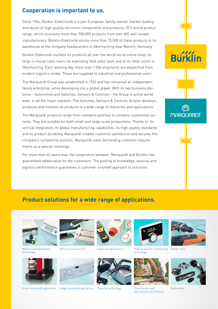### **Cooperation is important to us.**

Since 1954, Bürklin Elekctronik is a pan-European, family-owned, market leading distributor of high-quality electronic components and products. Of it entire product range, which countains more than 500,000 products from over 600 well-known manufacturers, Bürklin Elektronik stocks more than 75,000 of these products in its warehouse at the company headquarters in Oberhaching near Munich, Germany.

Bürklin Elektronik markets its products all over the world via its online shop, its large in-house sales team, its expending field sales team and at its retail outlet in Oberhaching. Each working day, more than 1,500 shipments are dispatched from modern logistics center. These are supplied to industrial and professional users.

The Marquardt Group was established in 1925 and has remained an independent family enterprise, while developing into a global player. With its two business divisions – Automotive and Switches, Sensors & Controls – the Group is active world wide, in all the major markets. The Switches, Sensors & Controls division develops, produces and markets its products to a wide range of industries and applications.

The Marquardt products range from standard switches to complex customized systems. They are suitable for both small and large-scale productions. Thanks to its vertical integration, its global manufacturing capabilities, its high-quality standards and its product durability, Marquardt creates customer satisfaction and secures the company's competitive position. Marquardt views demanding customer requirements as a special challenge.

For more than 40 years now, the cooperation between Marquardt and Bürklin has guaranteed added value for the customers. The pooling of knowledge, services and logistics performance guarantees a customer-oriented approach to solutions.



### **Product solutions for a wide range of applications.**



Medical and laboratory technology













Office communication Industrial applications Heating and air conditioning technology



agricultural machineries



Power tools



Automotive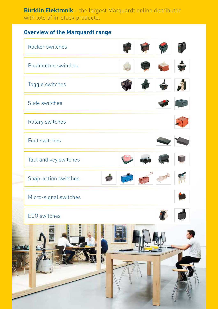### **Bürklin Elektronik** – the largest Marquardt online distributor with lots of in-stock products.

### **Overview of the Marquardt range**

| Rocker switches       |  |
|-----------------------|--|
| Pushbutton switches   |  |
| Toggle switches       |  |
| Slide switches        |  |
| Rotary switches       |  |
| Foot switches         |  |
| Tact and key switches |  |
| Snap-action switches  |  |
| Micro-signal switches |  |
| ECO switches          |  |
|                       |  |
|                       |  |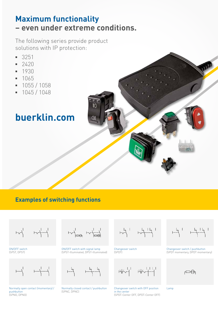### **Maximum functionality – even under extreme conditions.**

The following series provide product solutions with IP protection:

- **▪** 3251
- **▪** 2420
- **▪** 1930
- **▪** 1065
- **▪** 1055 / 1058
- **▪** 1045 / 1048

## **buerklin.com**

**Examples of switching functions**

 $+24 + 44$ 

ON/OFF switch (SPST, DPST)

 $+--\left\{$   $+--\left\{$ 

Normally open contact (momentary) / pushbutton (SPNO, DPNO)

 $\begin{picture}(120,115) \put(0,0){\line(1,0){150}} \put(15,0){\line(1,0){150}} \put(15,0){\line(1,0){150}} \put(15,0){\line(1,0){150}} \put(15,0){\line(1,0){150}} \put(15,0){\line(1,0){150}} \put(15,0){\line(1,0){150}} \put(15,0){\line(1,0){150}} \put(15,0){\line(1,0){150}} \put(15,0){\line(1,0){150}} \put(15,0){\line(1,0){150$ 

ON/OFF switch with signal lamp (SPST-Illuminated, DPST-Illuminated)

 $+22$ 

Normally closed contact / pushbutton (SPNC, DPNC)

Changeover switch (SPDT)

 $W^{-1}$   $W^{-1-1}$ 

Changeover switch with OFF position in the center (SPDT-Center OFF, DPDT-Center OFF)

Changeover switch / pushbutton (SPDT momentary, DPDT momentary)

Lamp

 $\Box$